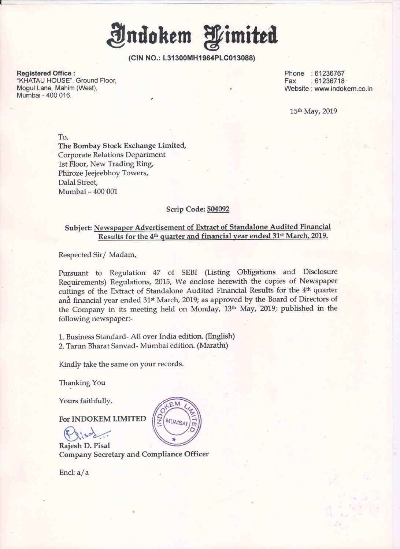Indokem Wimited

(CIN NO.: L31300MH1964PLCO13088)

Registered Office : Phone : 61236767<br>"KHATAU HOUSE", Ground Floor, Phone : 61236718<br>"KHATAU HOUSE", Ground Floor, Phone : 61236718 "KHATAU HOUSE", Ground Floor,<br>Mogul Lane, Mahim (West), Mumbai - 400 016.

Website : www.indokem.co.in

15th May, 2019

To,

The Bombay Stock Exchange Limited, Corporate Relations Department lst Floor, New Trading Ring, Phiroze Jeejeebhoy Towers, Dalal Street, Mumbai — 400 001

## Scrip Code: 504092

## Subject: Newspaper Advertisement of Extract of Standalone Audited Financial Results for the 4<sup>th</sup> quarter and financial year ended 31<sup>st</sup> March, 2019.

Respected Sir/ Madam,

Pursuant to Regulation <sup>47</sup> of SEBI (Listing Obligations and Disclosure Requirements) Regulations, 2015, We enclose herewith the copies of Newspaper cuttings of the Extract of Standalone Audited Financial Results for the 4<sup>th</sup> quarter and financial year ended 31<sup>st</sup> March, 2019; as approved by the Board of Directors of the Company in its meeting held on Monday, 13'h May, 2019; published in the following newspaper:-

1. Business Standard- All over India edition. (English) 2. Tarun Bharat Sanvad- Mumbai edition. (Marathi)

Kindly take the same on your records.

Thanking You

Yours faithfully,

For INDOKEM LIMITED

 $Q$ iso $\frac{1}{2}$ 

Rajesh D. Pisal Company Secretary and Compliance Officer

Encl: a / a

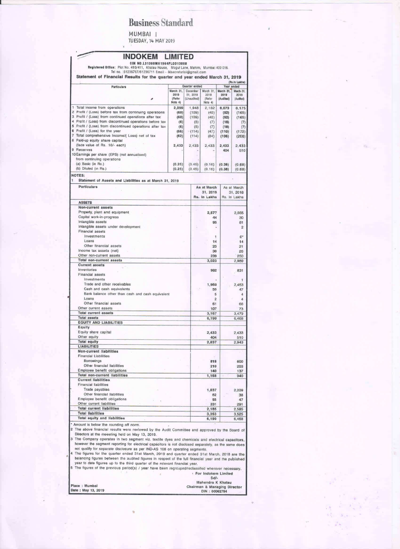## **Business Standard**

MUMBAI |<br>TUESDAY, 14 MAY 2019

| <b>INDOKEM</b><br>CIN NO.L31300MH1964PLC013088<br>Registered Office: Plot No. 410/411, Khatau House, Mogul Lane, Mahim, Mumbai 400 016.<br>Tel no. : 61236767/61236711 Email - iklsecretarial@gmail.com | <b>LIMITED</b>                         |                         |            |                                        |                                |                                |  |
|---------------------------------------------------------------------------------------------------------------------------------------------------------------------------------------------------------|----------------------------------------|-------------------------|------------|----------------------------------------|--------------------------------|--------------------------------|--|
| Statement of Financial Results for the quarter and year ended March 31, 2019                                                                                                                            |                                        |                         |            |                                        |                                | (Rs.in Lakhs)                  |  |
| Particulars                                                                                                                                                                                             |                                        | Quarter ended           |            |                                        |                                | Year ended                     |  |
|                                                                                                                                                                                                         | March 31,<br>2019<br>(Refer<br>Note 4) | 31, 2018<br>(Unaudited) | December   | March 31.<br>2018<br>(Refer<br>Note 4) | March 31.<br>2019<br>(Audited) | March 31,<br>2018<br>(Audited) |  |
| 1<br>Total income from operations                                                                                                                                                                       | 2,099                                  |                         | 1,948      | 2,182                                  | 8,073                          | 8,175                          |  |
| 2 Profit / (Loss) before tax from continuing operations                                                                                                                                                 | (60)                                   |                         | (109)      | (40)                                   | (92)                           | (165)                          |  |
| 3 Profit / (Loss) from continued operations after tax                                                                                                                                                   | (60)                                   |                         | (109)      | (40)                                   | (92)                           | (165)                          |  |
| 4 Profit / (Loss) from discontinued operations before tax<br>5 Profit / (Loss) from discontinued operations after tax                                                                                   | (6)<br>(6)                             |                         | (5)<br>(5) | (7)<br>(7)                             | (18)<br>(18)                   | (7)<br>(7)                     |  |
| 6 Profit / (Loss) for the year                                                                                                                                                                          | (66)                                   |                         | $-(114)$   | (47)                                   | (110)                          | (172)                          |  |
| 7 Total comprehensive Income/( Loss) net of tax                                                                                                                                                         | (62)                                   |                         | (114)      | (84)                                   | (106)                          | (208)                          |  |
| 8 Paid-up equity share capital                                                                                                                                                                          |                                        |                         |            |                                        |                                |                                |  |
| (face value of Rs. 10/- each)<br>9 Reserves                                                                                                                                                             | 2,433                                  |                         | 2,433      | 2,433                                  | 2,433<br>404                   | 2,433<br>510                   |  |
| 10 Earnings per share (EPS) (not annualised)                                                                                                                                                            |                                        |                         |            |                                        |                                |                                |  |
| from continuing operations                                                                                                                                                                              |                                        |                         |            |                                        |                                |                                |  |
| (a) Basic (in Rs.)                                                                                                                                                                                      | (0.25)                                 |                         | (0.45)     | (0.16)                                 | (0.38)                         | (0.68)                         |  |
| (b) Diluted (in Rs.)                                                                                                                                                                                    | (0.25)                                 |                         | (0.45)     | (0.16)                                 | (0.38)                         | (0.68)                         |  |
| <b>NOTES:</b><br>1<br>Statement of Assets and Liabilities as at March 31, 2019                                                                                                                          |                                        |                         |            |                                        |                                |                                |  |
| Particulars                                                                                                                                                                                             |                                        |                         |            | As at March                            |                                | As at March                    |  |
|                                                                                                                                                                                                         |                                        |                         |            | 31, 2019<br>Rs. In Lakhs               | 31, 2018<br>Rs. In Lakhs       |                                |  |
| <b>ASSETS</b><br>Non-current assets                                                                                                                                                                     |                                        |                         |            |                                        |                                |                                |  |
| Property, plant and equipment                                                                                                                                                                           |                                        |                         |            | 2,577                                  |                                | 2,565                          |  |
| Capital work-in-progress                                                                                                                                                                                |                                        |                         |            | 44                                     |                                | 30                             |  |
| Intangible assets                                                                                                                                                                                       |                                        |                         |            | 95                                     |                                | 81                             |  |
| Intangible assets under development<br><b>Financial assets</b>                                                                                                                                          |                                        |                         |            |                                        |                                | $\overline{c}$                 |  |
| Investments                                                                                                                                                                                             |                                        |                         |            | 1                                      |                                | $0^*$                          |  |
| Loans                                                                                                                                                                                                   |                                        |                         |            | 14                                     |                                | 14                             |  |
| Other financial assets                                                                                                                                                                                  |                                        |                         |            | 23                                     |                                | 21                             |  |
| Income tax assets (net)                                                                                                                                                                                 |                                        |                         |            | 30                                     |                                | 26                             |  |
| Other non-current assets                                                                                                                                                                                |                                        |                         |            | 239                                    |                                | 250                            |  |
| <b>Total non-current assets</b><br><b>Current assets</b>                                                                                                                                                |                                        |                         |            | 3,023                                  |                                | 2,989                          |  |
| Inventories                                                                                                                                                                                             |                                        |                         |            | 982                                    |                                | 831                            |  |
| <b>Financial assets</b>                                                                                                                                                                                 |                                        |                         |            |                                        |                                |                                |  |
| Investments                                                                                                                                                                                             |                                        |                         |            |                                        |                                | 1                              |  |
| Trade and other receivables<br>Cash and cash equivalents                                                                                                                                                |                                        |                         |            | 1,960                                  |                                | 2,453                          |  |
| Bank balance other than cash and cash equivalent                                                                                                                                                        |                                        |                         |            | 50<br>5                                |                                | 47<br>4                        |  |
| Loans                                                                                                                                                                                                   |                                        |                         |            | $\overline{2}$                         |                                | 4                              |  |
| Other financial assets                                                                                                                                                                                  |                                        |                         |            | 61                                     |                                | 66                             |  |
| Other current assets<br><b>Total current assets</b>                                                                                                                                                     |                                        |                         |            | 107                                    |                                | 73                             |  |
| <b>Total assets</b>                                                                                                                                                                                     |                                        |                         |            | 3,167<br>6,190                         |                                | 3,479<br>6,468                 |  |
| <b>EQUITY AND LIABILITIES</b>                                                                                                                                                                           |                                        |                         |            |                                        |                                |                                |  |
| Equity                                                                                                                                                                                                  |                                        |                         |            |                                        |                                |                                |  |
| Equity share capital                                                                                                                                                                                    |                                        |                         |            | 2,433                                  |                                | 2,433                          |  |
| Other equity<br><b>Total equity</b>                                                                                                                                                                     |                                        |                         |            | 404<br>2,837                           |                                | 510<br>2,943                   |  |
| <b>LIABILITIES</b>                                                                                                                                                                                      |                                        |                         |            |                                        |                                |                                |  |
| Non-current liabilities                                                                                                                                                                                 |                                        |                         |            |                                        |                                |                                |  |
| <b>Financial Liabilities</b>                                                                                                                                                                            |                                        |                         |            |                                        |                                |                                |  |
| Borrowings<br>Other financial liabilities                                                                                                                                                               |                                        |                         |            | 818                                    |                                | 600                            |  |
| Employee benefit obligations                                                                                                                                                                            |                                        |                         |            | 210<br>140                             |                                | 203<br>137                     |  |
| <b>Total non-current liabilities</b>                                                                                                                                                                    |                                        |                         |            | 1,168                                  |                                | 940                            |  |
| <b>Current liabilities</b>                                                                                                                                                                              |                                        |                         |            |                                        |                                |                                |  |
| <b>Financial liabilities</b>                                                                                                                                                                            |                                        |                         |            |                                        |                                |                                |  |
| Trade payables<br>Other financial liabilities                                                                                                                                                           |                                        |                         |            | 1,837<br>62                            |                                | 2,209                          |  |
| Employee benefit obligations                                                                                                                                                                            |                                        |                         |            | 55                                     |                                | 38<br>47                       |  |
| Other current liabilities                                                                                                                                                                               |                                        |                         |            | 231                                    |                                | 291                            |  |
| <b>Total current liabilities</b>                                                                                                                                                                        |                                        |                         |            | 2,185                                  |                                | 2,585                          |  |
| <b>Total liabilities</b><br><b>Total equity and liabilities</b>                                                                                                                                         |                                        |                         |            | 3,353                                  |                                | 3,525                          |  |
|                                                                                                                                                                                                         |                                        |                         |            | 6,190                                  |                                | 6,468                          |  |
| * Amount is below the rounding off norm.<br>2 The above financial results were reviewed by the Audit Committee and approved by the Board of                                                             |                                        |                         |            |                                        |                                |                                |  |
| Directors at the meeeting held on May 13, 2019.                                                                                                                                                         |                                        |                         |            |                                        |                                |                                |  |
| 3 The Company operates in two segment viz. textile dyes and chemicals and electrical capacitors,                                                                                                        |                                        |                         |            |                                        |                                |                                |  |
| however the segment reporting for electrical capacitors is not disclosed separately, as the same does<br>not qualify for separate disclosure as per IND-AS 108 on operating segments.                   |                                        |                         |            |                                        |                                |                                |  |
| 4 The figures for the quarter ended 31st March, 2019 and quarter ended 31st March, 2018 are the                                                                                                         |                                        |                         |            |                                        |                                |                                |  |
| balancing figures between the audited figures in respect of the full financial year and the published                                                                                                   |                                        |                         |            |                                        |                                |                                |  |
| year to date figures up to the third quarter of the relevant financial year.                                                                                                                            |                                        |                         |            |                                        |                                |                                |  |
| 5 The figures of the previous period(s) / year have been regrouped/reclassifed wherever necessary.                                                                                                      |                                        |                         |            |                                        |                                |                                |  |
|                                                                                                                                                                                                         |                                        |                         |            | · For Indokem Limited<br>$Sd$ -        |                                |                                |  |
|                                                                                                                                                                                                         |                                        |                         |            | Mahendra K Khatau                      |                                |                                |  |
| Place: Mumbai                                                                                                                                                                                           |                                        |                         | Chairm     | 2. Monorina I                          |                                |                                |  |

Date : May 13, 2019

an & Managing I<br>DIN : 00062794